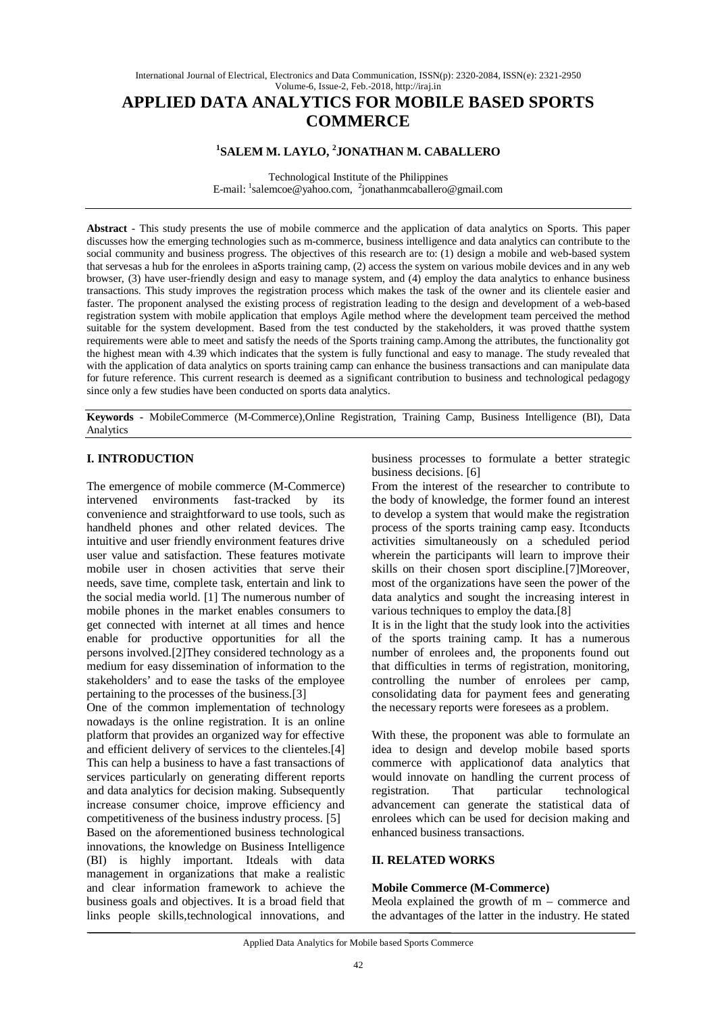# **APPLIED DATA ANALYTICS FOR MOBILE BASED SPORTS COMMERCE**

# **1 SALEM M. LAYLO, <sup>2</sup> JONATHAN M. CABALLERO**

Technological Institute of the Philippines E-mail: <sup>1</sup>salemcoe@yahoo.com, <sup>2</sup>jonathanmcaballero@gmail.com

**Abstract** - This study presents the use of mobile commerce and the application of data analytics on Sports. This paper discusses how the emerging technologies such as m-commerce, business intelligence and data analytics can contribute to the social community and business progress. The objectives of this research are to: (1) design a mobile and web-based system that servesas a hub for the enrolees in aSports training camp, (2) access the system on various mobile devices and in any web browser, (3) have user-friendly design and easy to manage system, and (4) employ the data analytics to enhance business transactions. This study improves the registration process which makes the task of the owner and its clientele easier and faster. The proponent analysed the existing process of registration leading to the design and development of a web-based registration system with mobile application that employs Agile method where the development team perceived the method suitable for the system development. Based from the test conducted by the stakeholders, it was proved thatthe system requirements were able to meet and satisfy the needs of the Sports training camp.Among the attributes, the functionality got the highest mean with 4.39 which indicates that the system is fully functional and easy to manage. The study revealed that with the application of data analytics on sports training camp can enhance the business transactions and can manipulate data for future reference. This current research is deemed as a significant contribution to business and technological pedagogy since only a few studies have been conducted on sports data analytics.

**Keywords -** MobileCommerce (M-Commerce),Online Registration, Training Camp, Business Intelligence (BI), Data Analytics

# **I. INTRODUCTION**

The emergence of mobile commerce (M-Commerce) intervened environments fast-tracked by its convenience and straightforward to use tools, such as handheld phones and other related devices. The intuitive and user friendly environment features drive user value and satisfaction. These features motivate mobile user in chosen activities that serve their needs, save time, complete task, entertain and link to the social media world. [1] The numerous number of mobile phones in the market enables consumers to get connected with internet at all times and hence enable for productive opportunities for all the persons involved.[2]They considered technology as a medium for easy dissemination of information to the stakeholders' and to ease the tasks of the employee pertaining to the processes of the business.[3]

One of the common implementation of technology nowadays is the online registration. It is an online platform that provides an organized way for effective and efficient delivery of services to the clienteles.[4] This can help a business to have a fast transactions of services particularly on generating different reports and data analytics for decision making. Subsequently increase consumer choice, improve efficiency and competitiveness of the business industry process. [5] Based on the aforementioned business technological innovations, the knowledge on Business Intelligence (BI) is highly important. Itdeals with data management in organizations that make a realistic and clear information framework to achieve the business goals and objectives. It is a broad field that links people skills,technological innovations, and

business processes to formulate a better strategic business decisions. [6]

From the interest of the researcher to contribute to the body of knowledge, the former found an interest to develop a system that would make the registration process of the sports training camp easy. Itconducts activities simultaneously on a scheduled period wherein the participants will learn to improve their skills on their chosen sport discipline.[7]Moreover, most of the organizations have seen the power of the data analytics and sought the increasing interest in various techniques to employ the data.[8]

It is in the light that the study look into the activities of the sports training camp. It has a numerous number of enrolees and, the proponents found out that difficulties in terms of registration, monitoring, controlling the number of enrolees per camp, consolidating data for payment fees and generating the necessary reports were foresees as a problem.

With these, the proponent was able to formulate an idea to design and develop mobile based sports commerce with applicationof data analytics that would innovate on handling the current process of registration. That particular technological advancement can generate the statistical data of enrolees which can be used for decision making and enhanced business transactions.

# **II. RELATED WORKS**

# **Mobile Commerce (M-Commerce)**

Meola explained the growth of  $m -$  commerce and the advantages of the latter in the industry. He stated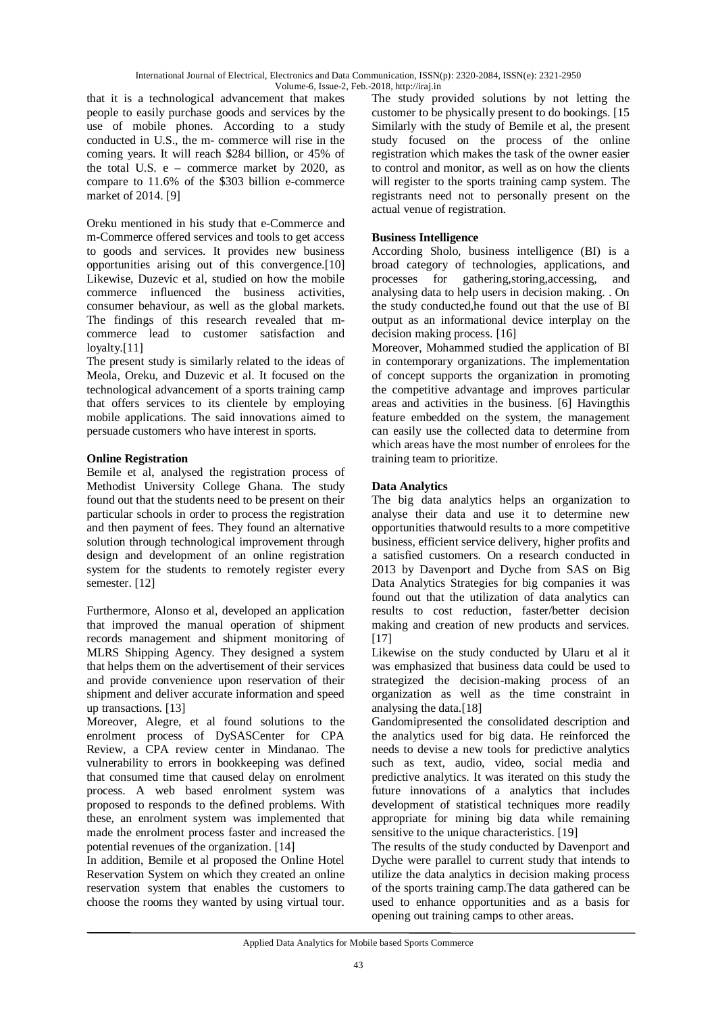that it is a technological advancement that makes people to easily purchase goods and services by the use of mobile phones. According to a study conducted in U.S., the m- commerce will rise in the coming years. It will reach \$284 billion, or 45% of the total U.S.  $e -$  commerce market by 2020, as compare to 11.6% of the \$303 billion e-commerce market of 2014. [9]

Oreku mentioned in his study that e-Commerce and m-Commerce offered services and tools to get access to goods and services. It provides new business opportunities arising out of this convergence.[10] Likewise, Duzevic et al, studied on how the mobile commerce influenced the business activities, consumer behaviour, as well as the global markets. The findings of this research revealed that mcommerce lead to customer satisfaction and loyalty.<sup>[11]</sup>

The present study is similarly related to the ideas of Meola, Oreku, and Duzevic et al. It focused on the technological advancement of a sports training camp that offers services to its clientele by employing mobile applications. The said innovations aimed to persuade customers who have interest in sports.

# **Online Registration**

Bemile et al, analysed the registration process of Methodist University College Ghana. The study found out that the students need to be present on their particular schools in order to process the registration and then payment of fees. They found an alternative solution through technological improvement through design and development of an online registration system for the students to remotely register every semester. [12]

Furthermore, Alonso et al, developed an application that improved the manual operation of shipment records management and shipment monitoring of MLRS Shipping Agency. They designed a system that helps them on the advertisement of their services and provide convenience upon reservation of their shipment and deliver accurate information and speed up transactions. [13]

Moreover, Alegre, et al found solutions to the enrolment process of DySASCenter for CPA Review, a CPA review center in Mindanao. The vulnerability to errors in bookkeeping was defined that consumed time that caused delay on enrolment process. A web based enrolment system was proposed to responds to the defined problems. With these, an enrolment system was implemented that made the enrolment process faster and increased the potential revenues of the organization. [14]

In addition, Bemile et al proposed the Online Hotel Reservation System on which they created an online reservation system that enables the customers to choose the rooms they wanted by using virtual tour.

The study provided solutions by not letting the customer to be physically present to do bookings. [15 Similarly with the study of Bemile et al, the present study focused on the process of the online registration which makes the task of the owner easier to control and monitor, as well as on how the clients will register to the sports training camp system. The registrants need not to personally present on the actual venue of registration.

# **Business Intelligence**

According Sholo, business intelligence (BI) is a broad category of technologies, applications, and processes for gathering,storing,accessing, and analysing data to help users in decision making. . On the study conducted,he found out that the use of BI output as an informational device interplay on the decision making process. [16]

Moreover, Mohammed studied the application of BI in contemporary organizations. The implementation of concept supports the organization in promoting the competitive advantage and improves particular areas and activities in the business. [6] Havingthis feature embedded on the system, the management can easily use the collected data to determine from which areas have the most number of enrolees for the training team to prioritize.

# **Data Analytics**

The big data analytics helps an organization to analyse their data and use it to determine new opportunities thatwould results to a more competitive business, efficient service delivery, higher profits and a satisfied customers. On a research conducted in 2013 by Davenport and Dyche from SAS on Big Data Analytics Strategies for big companies it was found out that the utilization of data analytics can results to cost reduction, faster/better decision making and creation of new products and services. [17]

Likewise on the study conducted by Ularu et al it was emphasized that business data could be used to strategized the decision-making process of an organization as well as the time constraint in analysing the data.[18]

Gandomipresented the consolidated description and the analytics used for big data. He reinforced the needs to devise a new tools for predictive analytics such as text, audio, video, social media and predictive analytics. It was iterated on this study the future innovations of a analytics that includes development of statistical techniques more readily appropriate for mining big data while remaining sensitive to the unique characteristics. [19]

The results of the study conducted by Davenport and Dyche were parallel to current study that intends to utilize the data analytics in decision making process of the sports training camp.The data gathered can be used to enhance opportunities and as a basis for opening out training camps to other areas.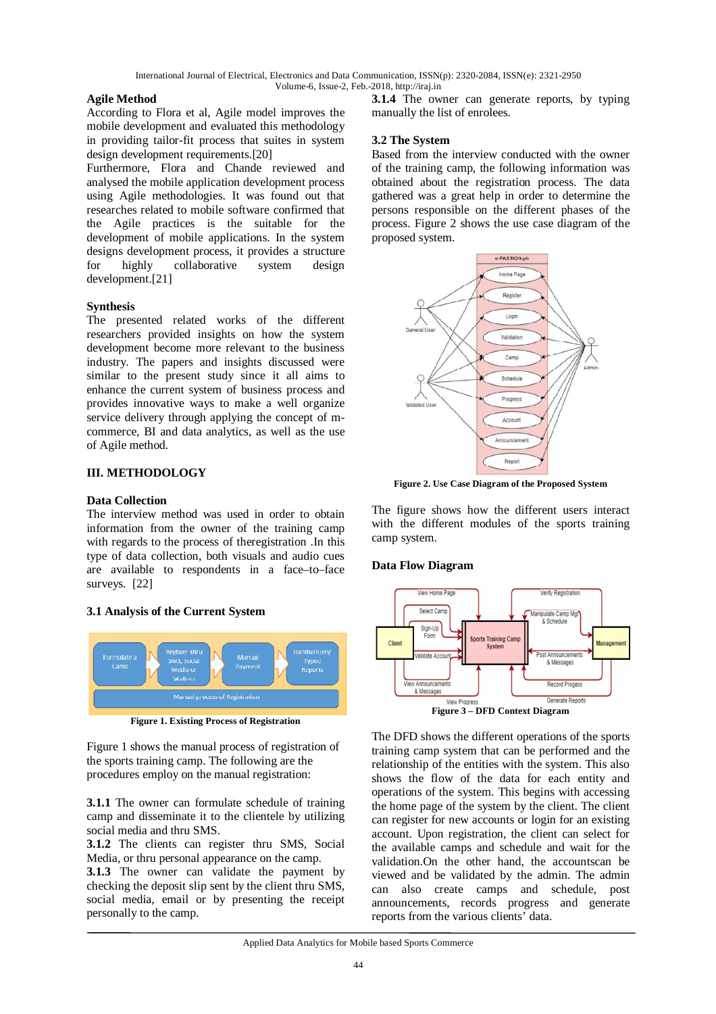# **Agile Method**

According to Flora et al, Agile model improves the mobile development and evaluated this methodology in providing tailor-fit process that suites in system design development requirements.[20]

Furthermore, Flora and Chande reviewed and analysed the mobile application development process using Agile methodologies. It was found out that researches related to mobile software confirmed that the Agile practices is the suitable for the development of mobile applications. In the system designs development process, it provides a structure for highly collaborative system design development.[21]

#### **Synthesis**

The presented related works of the different researchers provided insights on how the system development become more relevant to the business industry. The papers and insights discussed were similar to the present study since it all aims to enhance the current system of business process and provides innovative ways to make a well organize service delivery through applying the concept of mcommerce, BI and data analytics, as well as the use of Agile method.

#### **III. METHODOLOGY**

#### **Data Collection**

The interview method was used in order to obtain information from the owner of the training camp with regards to the process of theregistration .In this type of data collection, both visuals and audio cues are available to respondents in a face–to–face surveys. [22]

#### **3.1 Analysis of the Current System**



**Figure 1. Existing Process of Registration**

Figure 1 shows the manual process of registration of the sports training camp. The following are the procedures employ on the manual registration:

**3.1.1** The owner can formulate schedule of training camp and disseminate it to the clientele by utilizing social media and thru SMS.

**3.1.2** The clients can register thru SMS, Social Media, or thru personal appearance on the camp.

**3.1.3** The owner can validate the payment by checking the deposit slip sent by the client thru SMS, social media, email or by presenting the receipt personally to the camp.

**3.1.4** The owner can generate reports, by typing manually the list of enrolees.

#### **3.2 The System**

Based from the interview conducted with the owner of the training camp, the following information was obtained about the registration process. The data gathered was a great help in order to determine the persons responsible on the different phases of the process. Figure 2 shows the use case diagram of the proposed system.



**Figure 2. Use Case Diagram of the Proposed System**

The figure shows how the different users interact with the different modules of the sports training camp system.

#### **Data Flow Diagram**



The DFD shows the different operations of the sports training camp system that can be performed and the relationship of the entities with the system. This also shows the flow of the data for each entity and operations of the system. This begins with accessing the home page of the system by the client. The client can register for new accounts or login for an existing account. Upon registration, the client can select for the available camps and schedule and wait for the validation.On the other hand, the accountscan be viewed and be validated by the admin. The admin can also create camps and schedule, post announcements, records progress and generate reports from the various clients' data.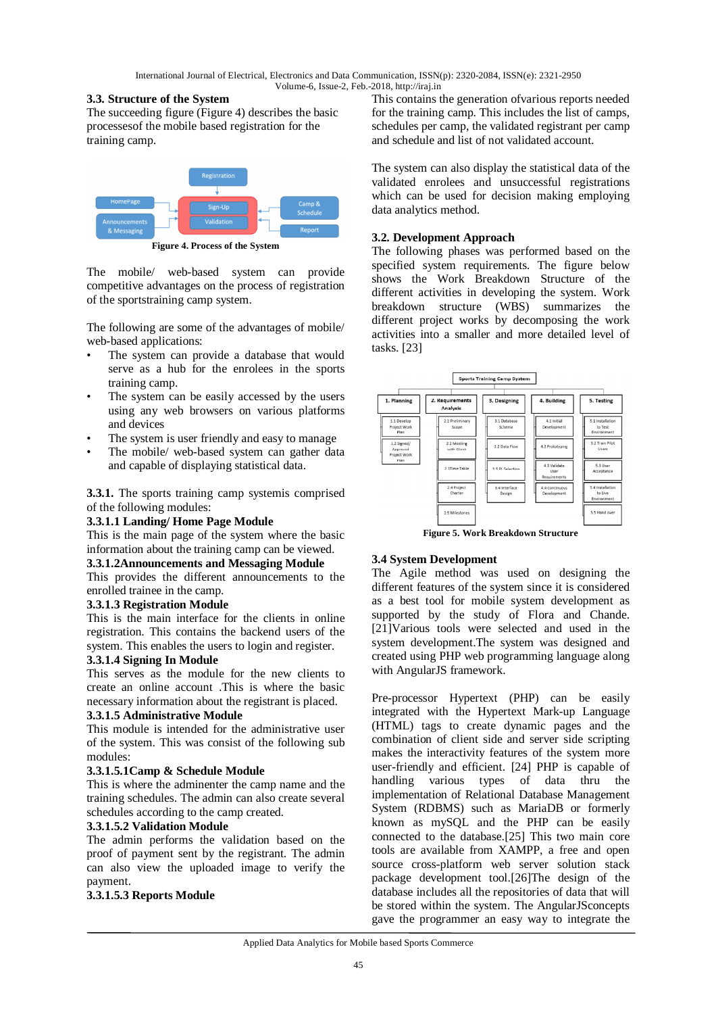# **3.3. Structure of the System**

The succeeding figure (Figure 4) describes the basic processesof the mobile based registration for the training camp.



The mobile/ web-based system can provide competitive advantages on the process of registration of the sportstraining camp system.

The following are some of the advantages of mobile/ web-based applications:

- The system can provide a database that would serve as a hub for the enrolees in the sports training camp.
- The system can be easily accessed by the users using any web browsers on various platforms and devices
- The system is user friendly and easy to manage
- The mobile/ web-based system can gather data and capable of displaying statistical data.

**3.3.1.** The sports training camp systemis comprised of the following modules:

# **3.3.1.1 Landing/ Home Page Module**

This is the main page of the system where the basic information about the training camp can be viewed.

# **3.3.1.2Announcements and Messaging Module**

This provides the different announcements to the enrolled trainee in the camp.

# **3.3.1.3 Registration Module**

This is the main interface for the clients in online registration. This contains the backend users of the system. This enables the users to login and register.

#### **3.3.1.4 Signing In Module**

This serves as the module for the new clients to create an online account .This is where the basic necessary information about the registrant is placed.

#### **3.3.1.5 Administrative Module**

This module is intended for the administrative user of the system. This was consist of the following sub modules:

# **3.3.1.5.1Camp & Schedule Module**

This is where the adminenter the camp name and the training schedules. The admin can also create several schedules according to the camp created.

# **3.3.1.5.2 Validation Module**

The admin performs the validation based on the proof of payment sent by the registrant. The admin can also view the uploaded image to verify the payment.

# **3.3.1.5.3 Reports Module**

This contains the generation ofvarious reports needed for the training camp. This includes the list of camps, schedules per camp, the validated registrant per camp and schedule and list of not validated account.

The system can also display the statistical data of the validated enrolees and unsuccessful registrations which can be used for decision making employing data analytics method.

# **3.2. Development Approach**

The following phases was performed based on the specified system requirements. The figure below shows the Work Breakdown Structure of the different activities in developing the system. Work breakdown structure (WBS) summarizes the different project works by decomposing the work activities into a smaller and more detailed level of tasks. [23]



**Figure 5. Work Breakdown Structure**

# **3.4 System Development**

The Agile method was used on designing the different features of the system since it is considered as a best tool for mobile system development as supported by the study of Flora and Chande. [21]Various tools were selected and used in the system development.The system was designed and created using PHP web programming language along with AngularJS framework.

Pre-processor Hypertext (PHP) can be easily integrated with the Hypertext Mark-up Language (HTML) tags to create dynamic pages and the combination of client side and server side scripting makes the interactivity features of the system more user-friendly and efficient. [24] PHP is capable of handling various types of data thru the implementation of Relational Database Management System (RDBMS) such as MariaDB or formerly known as mySQL and the PHP can be easily connected to the database.[25] This two main core tools are available from XAMPP, a free and open source cross-platform web server solution stack package development tool.[26]The design of the database includes all the repositories of data that will be stored within the system. The AngularJSconcepts gave the programmer an easy way to integrate the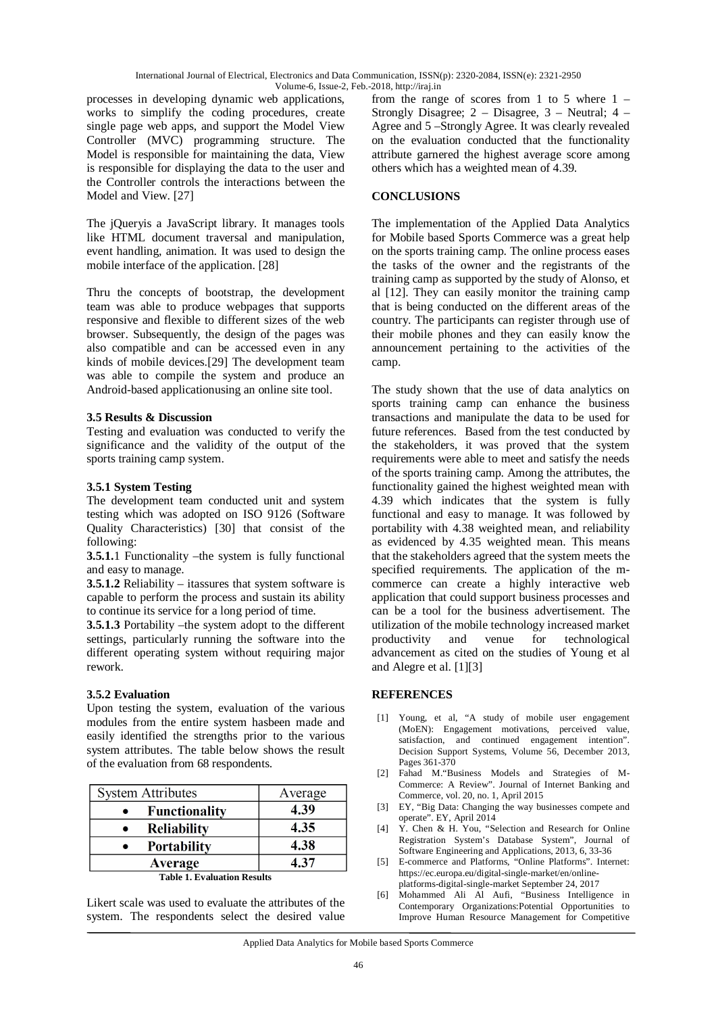processes in developing dynamic web applications, works to simplify the coding procedures, create single page web apps, and support the Model View Controller (MVC) programming structure. The Model is responsible for maintaining the data, View is responsible for displaying the data to the user and the Controller controls the interactions between the Model and View. [27]

The jQueryis a JavaScript library. It manages tools like HTML document traversal and manipulation, event handling, animation. It was used to design the mobile interface of the application. [28]

Thru the concepts of bootstrap, the development team was able to produce webpages that supports responsive and flexible to different sizes of the web browser. Subsequently, the design of the pages was also compatible and can be accessed even in any kinds of mobile devices.[29] The development team was able to compile the system and produce an Android-based applicationusing an online site tool.

#### **3.5 Results & Discussion**

Testing and evaluation was conducted to verify the significance and the validity of the output of the sports training camp system.

#### **3.5.1 System Testing**

The development team conducted unit and system testing which was adopted on ISO 9126 (Software Quality Characteristics) [30] that consist of the following:

**3.5.1.**1 Functionality –the system is fully functional and easy to manage.

**3.5.1.2** Reliability – itassures that system software is capable to perform the process and sustain its ability to continue its service for a long period of time.

**3.5.1.3** Portability –the system adopt to the different settings, particularly running the software into the different operating system without requiring major rework.

# **3.5.2 Evaluation**

Upon testing the system, evaluation of the various modules from the entire system hasbeen made and easily identified the strengths prior to the various system attributes. The table below shows the result of the evaluation from 68 respondents.

| <b>System Attributes</b> | Average |
|--------------------------|---------|
| <b>Functionality</b>     | 4.39    |
| <b>Reliability</b>       | 4.35    |
| <b>Portability</b>       | 4.38    |
| Average                  | 4 37    |

**Table 1. Evaluation Results**

Likert scale was used to evaluate the attributes of the system. The respondents select the desired value

from the range of scores from 1 to 5 where 1 – Strongly Disagree; 2 – Disagree, 3 – Neutral; 4 – Agree and 5 –Strongly Agree. It was clearly revealed on the evaluation conducted that the functionality attribute garnered the highest average score among others which has a weighted mean of 4.39.

#### **CONCLUSIONS**

The implementation of the Applied Data Analytics for Mobile based Sports Commerce was a great help on the sports training camp. The online process eases the tasks of the owner and the registrants of the training camp as supported by the study of Alonso, et al [12]. They can easily monitor the training camp that is being conducted on the different areas of the country. The participants can register through use of their mobile phones and they can easily know the announcement pertaining to the activities of the camp.

The study shown that the use of data analytics on sports training camp can enhance the business transactions and manipulate the data to be used for future references. Based from the test conducted by the stakeholders, it was proved that the system requirements were able to meet and satisfy the needs of the sports training camp. Among the attributes, the functionality gained the highest weighted mean with 4.39 which indicates that the system is fully functional and easy to manage. It was followed by portability with 4.38 weighted mean, and reliability as evidenced by 4.35 weighted mean. This means that the stakeholders agreed that the system meets the specified requirements. The application of the mcommerce can create a highly interactive web application that could support business processes and can be a tool for the business advertisement. The utilization of the mobile technology increased market productivity and venue for technological advancement as cited on the studies of Young et al and Alegre et al. [1][3]

# **REFERENCES**

- [1] Young, et al, "A study of mobile user engagement (MoEN): Engagement motivations, perceived value, satisfaction, and continued engagement intention". Decision Support Systems, Volume 56, December 2013, Pages 361-370
- [2] Fahad M."Business Models and Strategies of M-Commerce: A Review". Journal of Internet Banking and Commerce, vol. 20, no. 1, April 2015
- [3] EY, "Big Data: Changing the way businesses compete and operate". EY, April 2014
- [4] Y. Chen & H. You, "Selection and Research for Online Registration System's Database System", Journal of Software Engineering and Applications, 2013, 6, 33-36
- [5] E-commerce and Platforms, "Online Platforms". Internet: https://ec.europa.eu/digital-single-market/en/onlineplatforms-digital-single-market September 24, 2017
- [6] Mohammed Ali Al Aufi, "Business Intelligence in Contemporary Organizations:Potential Opportunities to Improve Human Resource Management for Competitive